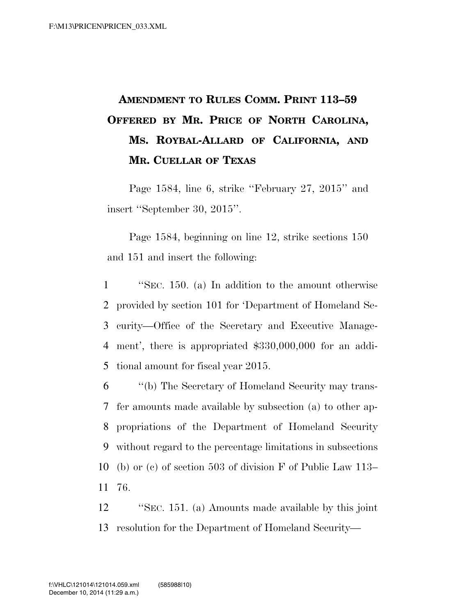## **AMENDMENT TO RULES COMM. PRINT 113–59 OFFERED BY MR. PRICE OF NORTH CAROLINA, MS. ROYBAL-ALLARD OF CALIFORNIA, AND MR. CUELLAR OF TEXAS**

Page 1584, line 6, strike ''February 27, 2015'' and insert ''September 30, 2015''.

Page 1584, beginning on line 12, strike sections 150 and 151 and insert the following:

 ''SEC. 150. (a) In addition to the amount otherwise provided by section 101 for 'Department of Homeland Se- curity—Office of the Secretary and Executive Manage- ment', there is appropriated \$330,000,000 for an addi-tional amount for fiscal year 2015.

 ''(b) The Secretary of Homeland Security may trans- fer amounts made available by subsection (a) to other ap- propriations of the Department of Homeland Security without regard to the percentage limitations in subsections (b) or (c) of section 503 of division F of Public Law 113– 11 76.

12 ''SEC. 151. (a) Amounts made available by this joint 13 resolution for the Department of Homeland Security